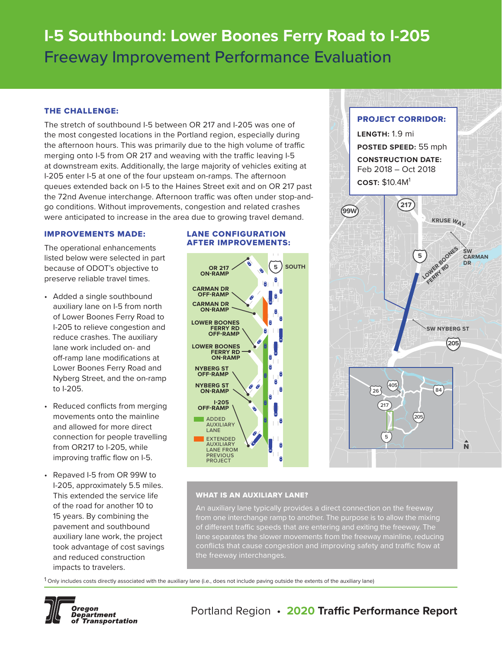# **I-5 Southbound: Lower Boones Ferry Road to I-205** Freeway Improvement Performance Evaluation

# THE CHALLENGE:

The stretch of southbound I-5 between OR 217 and I-205 was one of the most congested locations in the Portland region, especially during the afternoon hours. This was primarily due to the high volume of traffic merging onto I-5 from OR 217 and weaving with the traffic leaving I-5 at downstream exits. Additionally, the large majority of vehicles exiting at I-205 enter I-5 at one of the four upsteam on-ramps. The afternoon queues extended back on I-5 to the Haines Street exit and on OR 217 past the 72nd Avenue interchange. Afternoon traffic was often under stop-andgo conditions. Without improvements, congestion and related crashes were anticipated to increase in the area due to growing travel demand.

## IMPROVEMENTS MADE:

The operational enhancements listed below were selected in part because of ODOT's objective to preserve reliable travel times.

- Added a single southbound auxiliary lane on I-5 from north of Lower Boones Ferry Road to I-205 to relieve congestion and reduce crashes. The auxiliary lane work included on- and off-ramp lane modifications at Lower Boones Ferry Road and Nyberg Street, and the on-ramp to I-205.
- Reduced conflicts from merging movements onto the mainline and allowed for more direct connection for people travelling from OR217 to I-205, while improving traffic flow on I-5.
- Repaved I-5 from OR 99W to I-205, approximately 5.5 miles. This extended the service life of the road for another 10 to 15 years. By combining the pavement and southbound auxiliary lane work, the project took advantage of cost savings and reduced construction impacts to travelers.

## LANE CONFIGURATION AFTER IMPROVEMENTS:





# WHAT IS AN AUXILIARY LANE?

An auxiliary lane typically provides a direct connection on the freeway from one interchange ramp to another. The purpose is to allow the mixing of different traffic speeds that are entering and exiting the freeway. The conflicts that cause congestion and improving safety and traffic flow at the freeway interchanges.

1 Only includes costs directly associated with the auxiliary lane (i.e., does not include paving outside the extents of the auxiliary lane)